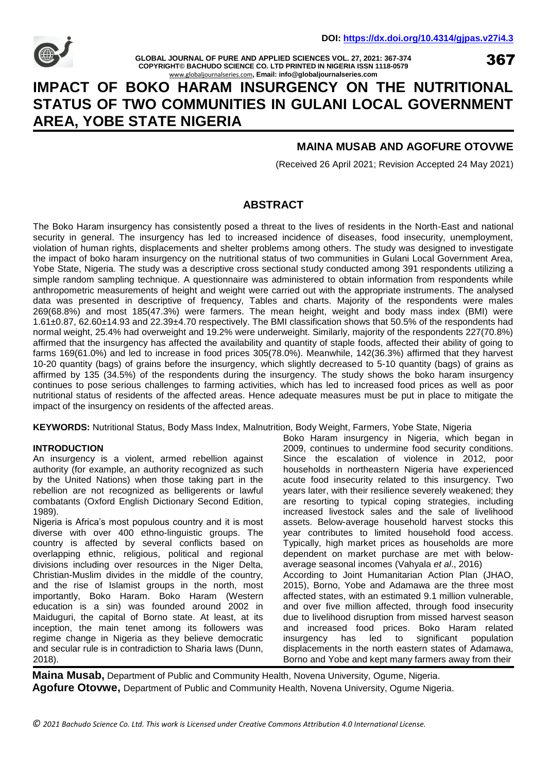

**GLOBAL JOURNAL OF PURE AND APPLIED SCIENCES VOL. 27, 2021: 367-374 COPYRIGHT© BACHUDO SCIENCE CO. LTD PRINTED IN NIGERIA ISSN 1118-0579** [www.globaljournalseries.com](http://www.globaljournalseries.com/)**, Email: info@globaljournalseries.com**

367

# **IMPACT OF BOKO HARAM INSURGENCY ON THE NUTRITIONAL STATUS OF TWO COMMUNITIES IN GULANI LOCAL GOVERNMENT AREA, YOBE STATE NIGERIA**

# **MAINA MUSAB AND AGOFURE OTOVWE**

(Received 26 April 2021; Revision Accepted 24 May 2021)

# **ABSTRACT**

The Boko Haram insurgency has consistently posed a threat to the lives of residents in the North-East and national security in general. The insurgency has led to increased incidence of diseases, food insecurity, unemployment, violation of human rights, displacements and shelter problems among others. The study was designed to investigate the impact of boko haram insurgency on the nutritional status of two communities in Gulani Local Government Area, Yobe State, Nigeria. The study was a descriptive cross sectional study conducted among 391 respondents utilizing a simple random sampling technique. A questionnaire was administered to obtain information from respondents while anthropometric measurements of height and weight were carried out with the appropriate instruments. The analysed data was presented in descriptive of frequency, Tables and charts. Majority of the respondents were males 269(68.8%) and most 185(47.3%) were farmers. The mean height, weight and body mass index (BMI) were 1.61±0.87, 62.60±14.93 and 22.39±4.70 respectively. The BMI classification shows that 50.5% of the respondents had normal weight, 25.4% had overweight and 19.2% were underweight. Similarly, majority of the respondents 227(70.8%) affirmed that the insurgency has affected the availability and quantity of staple foods, affected their ability of going to farms 169(61.0%) and led to increase in food prices 305(78.0%). Meanwhile, 142(36.3%) affirmed that they harvest 10-20 quantity (bags) of grains before the insurgency, which slightly decreased to 5-10 quantity (bags) of grains as affirmed by 135 (34.5%) of the respondents during the insurgency. The study shows the boko haram insurgency continues to pose serious challenges to farming activities, which has led to increased food prices as well as poor nutritional status of residents of the affected areas. Hence adequate measures must be put in place to mitigate the impact of the insurgency on residents of the affected areas.

**KEYWORDS:** Nutritional Status, Body Mass Index, Malnutrition, Body Weight, Farmers, Yobe State, Nigeria

#### **INTRODUCTION**

An insurgency is a violent, armed rebellion against authority (for example, an authority recognized as such by the United Nations) when those taking part in the rebellion are not recognized as belligerents or lawful combatants (Oxford English Dictionary Second Edition, 1989).

Nigeria is Africa's most populous country and it is most diverse with over 400 ethno-linguistic groups. The country is affected by several conflicts based on overlapping ethnic, religious, political and regional divisions including over resources in the Niger Delta, Christian-Muslim divides in the middle of the country, and the rise of Islamist groups in the north, most importantly, Boko Haram. Boko Haram (Western education is a sin) was founded around 2002 in Maiduguri, the capital of Borno state. At least, at its inception, the main tenet among its followers was regime change in Nigeria as they believe democratic and secular rule is in contradiction to Sharia laws (Dunn, 2018).

Boko Haram insurgency in Nigeria, which began in 2009, continues to undermine food security conditions. Since the escalation of violence in 2012, poor households in northeastern Nigeria have experienced acute food insecurity related to this insurgency. Two years later, with their resilience severely weakened; they are resorting to typical coping strategies, including increased livestock sales and the sale of livelihood assets. Below-average household harvest stocks this year contributes to limited household food access. Typically, high market prices as households are more dependent on market purchase are met with belowaverage seasonal incomes (Vahyala *et al*., 2016) According to Joint Humanitarian Action Plan (JHAO, 2015), Borno, Yobe and Adamawa are the three most affected states, with an estimated 9.1 million vulnerable, and over five million affected, through food insecurity due to livelihood disruption from missed harvest season and increased food prices. Boko Haram related insurgency has led to significant population displacements in the north eastern states of Adamawa, Borno and Yobe and kept many farmers away from their

**Maina Musab,** Department of Public and Community Health, Novena University, Ogume, Nigeria. **Agofure Otovwe,** Department of Public and Community Health, Novena University, Ogume Nigeria.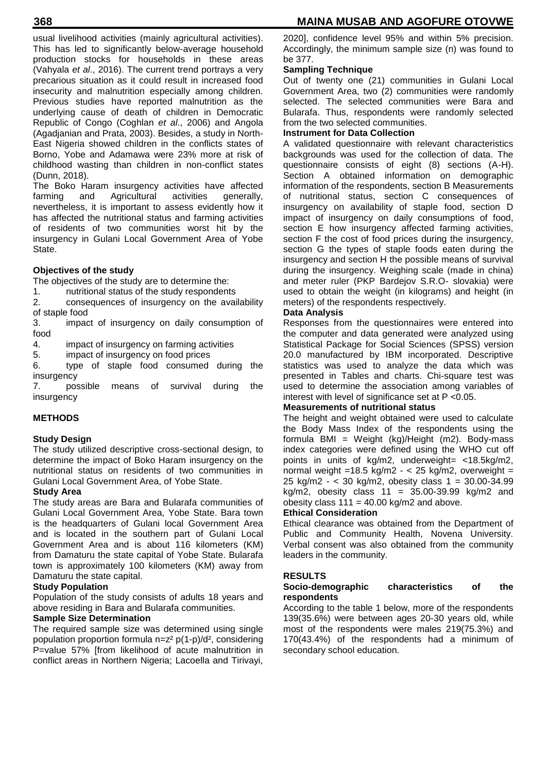usual livelihood activities (mainly agricultural activities). This has led to significantly below-average household production stocks for households in these areas (Vahyala *et al*., 2016). The current trend portrays a very precarious situation as it could result in increased food insecurity and malnutrition especially among children. Previous studies have reported malnutrition as the underlying cause of death of children in Democratic Republic of Congo (Coghlan *et al*., 2006) and Angola (Agadjanian and Prata, 2003). Besides, a study in North-East Nigeria showed children in the conflicts states of Borno, Yobe and Adamawa were 23% more at risk of childhood wasting than children in non-conflict states (Dunn, 2018).

The Boko Haram insurgency activities have affected<br>farming and Agricultural activities generally. Agricultural nevertheless, it is important to assess evidently how it has affected the nutritional status and farming activities of residents of two communities worst hit by the insurgency in Gulani Local Government Area of Yobe State.

## **Objectives of the study**

The objectives of the study are to determine the:

- 1. nutritional status of the study respondents
- 2. consequences of insurgency on the availability of staple food
- 3. impact of insurgency on daily consumption of food
- 4. impact of insurgency on farming activities
- 5. impact of insurgency on food prices
- 6. type of staple food consumed during the insurgency

7. possible means of survival during the insurgency

#### **METHODS**

#### **Study Design**

The study utilized descriptive cross-sectional design, to determine the impact of Boko Haram insurgency on the nutritional status on residents of two communities in Gulani Local Government Area, of Yobe State.

## **Study Area**

The study areas are Bara and Bularafa communities of Gulani Local Government Area, Yobe State. Bara town is the headquarters of Gulani local Government Area and is located in the southern part of Gulani Local Government Area and is about 116 kilometers (KM) from Damaturu the state capital of Yobe State. Bularafa town is approximately 100 kilometers (KM) away from Damaturu the state capital.

#### **Study Population**

Population of the study consists of adults 18 years and above residing in Bara and Bularafa communities.

## **Sample Size Determination**

The required sample size was determined using single population proportion formula n=z² p(1-p)/d², considering P=value 57% [from likelihood of acute malnutrition in conflict areas in Northern Nigeria; Lacoella and Tirivayi,

## **Sampling Technique**

Out of twenty one (21) communities in Gulani Local Government Area, two (2) communities were randomly selected. The selected communities were Bara and Bularafa. Thus, respondents were randomly selected from the two selected communities.

#### **Instrument for Data Collection**

A validated questionnaire with relevant characteristics backgrounds was used for the collection of data. The questionnaire consists of eight (8) sections (A-H). Section A obtained information on demographic information of the respondents, section B Measurements of nutritional status, section C consequences of insurgency on availability of staple food, section D impact of insurgency on daily consumptions of food, section E how insurgency affected farming activities, section F the cost of food prices during the insurgency, section G the types of staple foods eaten during the insurgency and section H the possible means of survival during the insurgency. Weighing scale (made in china) and meter ruler (PKP Bardejov S.R.O- slovakia) were used to obtain the weight (in kilograms) and height (in meters) of the respondents respectively.

#### **Data Analysis**

Responses from the questionnaires were entered into the computer and data generated were analyzed using Statistical Package for Social Sciences (SPSS) version 20.0 manufactured by IBM incorporated. Descriptive statistics was used to analyze the data which was presented in Tables and charts. Chi-square test was used to determine the association among variables of interest with level of significance set at P <0.05.

## **Measurements of nutritional status**

The height and weight obtained were used to calculate the Body Mass Index of the respondents using the formula BMI = Weight (kg)/Height (m2). Body-mass index categories were defined using the WHO cut off points in units of kg/m2, underweight= <18.5kg/m2, normal weight =18.5 kg/m2 -  $<$  25 kg/m2, overweight = 25 kg/m2 - < 30 kg/m2, obesity class 1 = 30.00-34.99 kg/m2, obesity class  $11 = 35.00 - 39.99$  kg/m2 and obesity class  $111 = 40.00$  kg/m2 and above.

#### **Ethical Consideration**

Ethical clearance was obtained from the Department of Public and Community Health, Novena University. Verbal consent was also obtained from the community leaders in the community.

#### **RESULTS**

## **Socio-demographic characteristics of the respondents**

According to the table 1 below, more of the respondents 139(35.6%) were between ages 20-30 years old, while most of the respondents were males 219(75.3%) and 170(43.4%) of the respondents had a minimum of secondary school education.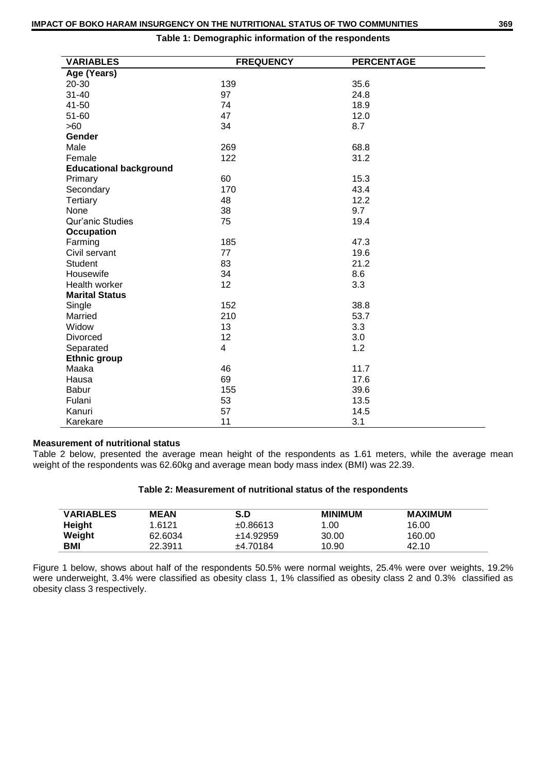| <b>VARIABLES</b>              | <b>FREQUENCY</b> | <b>PERCENTAGE</b> |
|-------------------------------|------------------|-------------------|
| Age (Years)                   |                  |                   |
| 20-30                         | 139              | 35.6              |
| $31 - 40$                     | 97               | 24.8              |
| 41-50                         | 74               | 18.9              |
| 51-60                         | 47               | 12.0              |
| >60                           | 34               | 8.7               |
| Gender                        |                  |                   |
| Male                          | 269              | 68.8              |
| Female                        | 122              | 31.2              |
| <b>Educational background</b> |                  |                   |
| Primary                       | 60               | 15.3              |
| Secondary                     | 170              | 43.4              |
| Tertiary                      | 48               | 12.2              |
| None                          | 38               | 9.7               |
| Qur'anic Studies              | 75               | 19.4              |
| <b>Occupation</b>             |                  |                   |
| Farming                       | 185              | 47.3              |
| Civil servant                 | 77               | 19.6              |
| Student                       | 83               | 21.2              |
| Housewife                     | 34               | 8.6               |
| Health worker                 | 12               | 3.3               |
| <b>Marital Status</b>         |                  |                   |
| Single                        | 152              | 38.8              |
| Married                       | 210              | 53.7              |
| Widow                         | 13               | 3.3               |
| Divorced                      | 12               | 3.0               |
| Separated                     | $\overline{4}$   | 1.2               |
| <b>Ethnic group</b>           |                  |                   |
| Maaka                         | 46               | 11.7              |
| Hausa                         | 69               | 17.6              |
| <b>Babur</b>                  | 155              | 39.6              |
| Fulani                        | 53               | 13.5              |
| Kanuri                        | 57               | 14.5              |
| Karekare                      | 11               | 3.1               |

**Table 1: Demographic information of the respondents**

## **Measurement of nutritional status**

Table 2 below, presented the average mean height of the respondents as 1.61 meters, while the average mean weight of the respondents was 62.60kg and average mean body mass index (BMI) was 22.39.

| Table 2: Measurement of nutritional status of the respondents |  |  |  |
|---------------------------------------------------------------|--|--|--|
|---------------------------------------------------------------|--|--|--|

| <b>VARIABLES</b> | <b>MEAN</b> | S.D       | <b>MINIMUM</b> | MAXIMUM |
|------------------|-------------|-----------|----------------|---------|
| Height           | 1.6121      | ±0.86613  | 1.00           | 16.00   |
| Weight           | 62.6034     | ±14.92959 | 30.00          | 160.00  |
| BMI              | 22.3911     | ±4.70184  | 10.90          | 42.10   |

Figure 1 below, shows about half of the respondents 50.5% were normal weights, 25.4% were over weights, 19.2% were underweight, 3.4% were classified as obesity class 1, 1% classified as obesity class 2 and 0.3% classified as obesity class 3 respectively.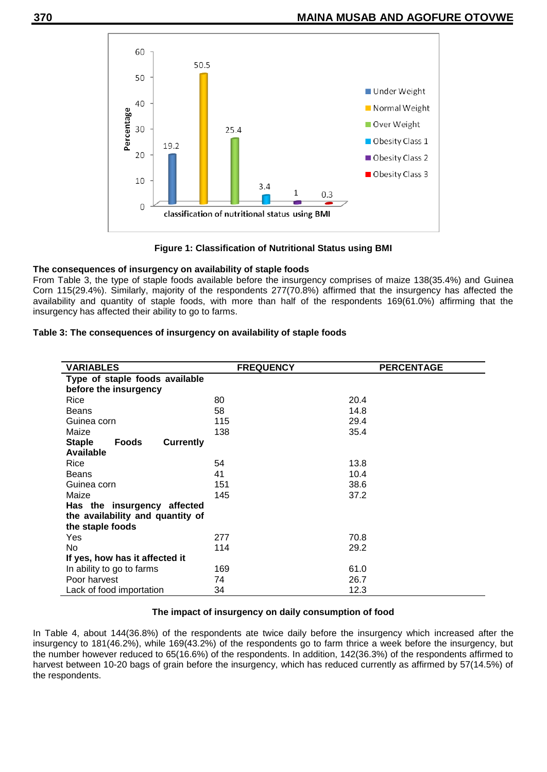

**Figure 1: Classification of Nutritional Status using BMI**

## **The consequences of insurgency on availability of staple foods**

From Table 3, the type of staple foods available before the insurgency comprises of maize 138(35.4%) and Guinea Corn 115(29.4%). Similarly, majority of the respondents 277(70.8%) affirmed that the insurgency has affected the availability and quantity of staple foods, with more than half of the respondents 169(61.0%) affirming that the insurgency has affected their ability to go to farms.

| <b>VARIABLES</b>                           | <b>FREQUENCY</b> | <b>PERCENTAGE</b> |  |
|--------------------------------------------|------------------|-------------------|--|
| Type of staple foods available             |                  |                   |  |
|                                            |                  |                   |  |
| before the insurgency                      |                  |                   |  |
| Rice                                       | 80               | 20.4              |  |
| <b>Beans</b>                               | 58               | 14.8              |  |
| Guinea corn                                | 115              | 29.4              |  |
| Maize                                      | 138              | 35.4              |  |
| <b>Staple</b><br><b>Currently</b><br>Foods |                  |                   |  |
| Available                                  |                  |                   |  |
| Rice                                       | 54               | 13.8              |  |
| <b>Beans</b>                               | 41               | 10.4              |  |
| Guinea corn                                | 151              | 38.6              |  |
| Maize                                      | 145              | 37.2              |  |
| Has the insurgency affected                |                  |                   |  |
| the availability and quantity of           |                  |                   |  |
| the staple foods                           |                  |                   |  |
| Yes                                        | 277              | 70.8              |  |
| No                                         | 114              | 29.2              |  |
| If yes, how has it affected it             |                  |                   |  |
| In ability to go to farms                  | 169              | 61.0              |  |
| Poor harvest                               | 74               | 26.7              |  |
| Lack of food importation                   | 34               | 12.3              |  |

#### **Table 3: The consequences of insurgency on availability of staple foods**

#### **The impact of insurgency on daily consumption of food**

In Table 4, about 144(36.8%) of the respondents ate twice daily before the insurgency which increased after the insurgency to 181(46.2%), while 169(43.2%) of the respondents go to farm thrice a week before the insurgency, but the number however reduced to 65(16.6%) of the respondents. In addition, 142(36.3%) of the respondents affirmed to harvest between 10-20 bags of grain before the insurgency, which has reduced currently as affirmed by 57(14.5%) of the respondents.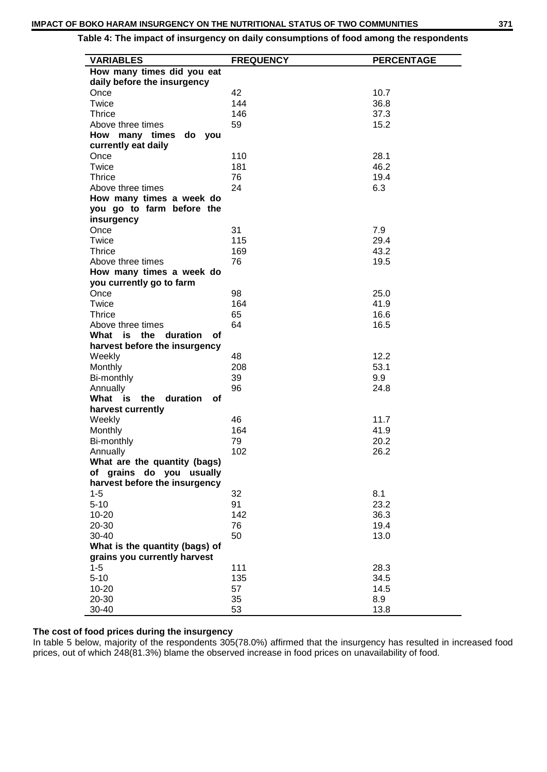## **Table 4: The impact of insurgency on daily consumptions of food among the respondents**

| <b>VARIABLES</b>               | <b>FREQUENCY</b> | <b>PERCENTAGE</b> |
|--------------------------------|------------------|-------------------|
| How many times did you eat     |                  |                   |
| daily before the insurgency    |                  |                   |
| Once                           | 42               | 10.7              |
| Twice                          | 144              | 36.8              |
| <b>Thrice</b>                  | 146              | 37.3              |
| Above three times              | 59               | 15.2              |
| How many times<br>do you       |                  |                   |
| currently eat daily            |                  |                   |
| Once                           | 110              | 28.1              |
| Twice                          | 181              | 46.2              |
| <b>Thrice</b>                  | 76               | 19.4              |
| Above three times              | 24               | 6.3               |
| How many times a week do       |                  |                   |
| you go to farm before the      |                  |                   |
| insurgency                     |                  |                   |
| Once                           | 31               | 7.9               |
| Twice                          | 115              | 29.4              |
| <b>Thrice</b>                  | 169              | 43.2              |
| Above three times              | 76               | 19.5              |
| How many times a week do       |                  |                   |
| you currently go to farm       |                  |                   |
| Once                           | 98               | 25.0              |
| Twice                          | 164              | 41.9              |
| <b>Thrice</b>                  | 65               | 16.6              |
| Above three times              | 64               | 16.5              |
| What is the duration<br>οf     |                  |                   |
| harvest before the insurgency  |                  |                   |
| Weekly                         | 48               | 12.2              |
| Monthly                        | 208              | 53.1              |
| Bi-monthly                     | 39               | 9.9               |
| Annually                       | 96               | 24.8              |
| What is<br>the duration<br>οf  |                  |                   |
| harvest currently              |                  |                   |
| Weekly                         | 46               | 11.7              |
| Monthly                        | 164              | 41.9              |
| Bi-monthly                     | 79               | 20.2              |
| Annually                       | 102              | 26.2              |
| What are the quantity (bags)   |                  |                   |
| of grains do you usually       |                  |                   |
| harvest before the insurgency  |                  |                   |
| $1 - 5$                        | 32               | 8.1               |
| $5 - 10$                       | 91               | 23.2              |
| 10-20                          | 142              | 36.3              |
| 20-30                          | 76               | 19.4              |
| 30-40                          | 50               | 13.0              |
| What is the quantity (bags) of |                  |                   |
| grains you currently harvest   |                  |                   |
| $1 - 5$                        | 111              | 28.3              |
| $5 - 10$                       | 135              | 34.5              |
| 10-20                          | 57               | 14.5              |
| 20-30                          | 35               | 8.9               |
| 30-40                          | 53               | 13.8              |

## **The cost of food prices during the insurgency**

In table 5 below, majority of the respondents 305(78.0%) affirmed that the insurgency has resulted in increased food prices, out of which 248(81.3%) blame the observed increase in food prices on unavailability of food.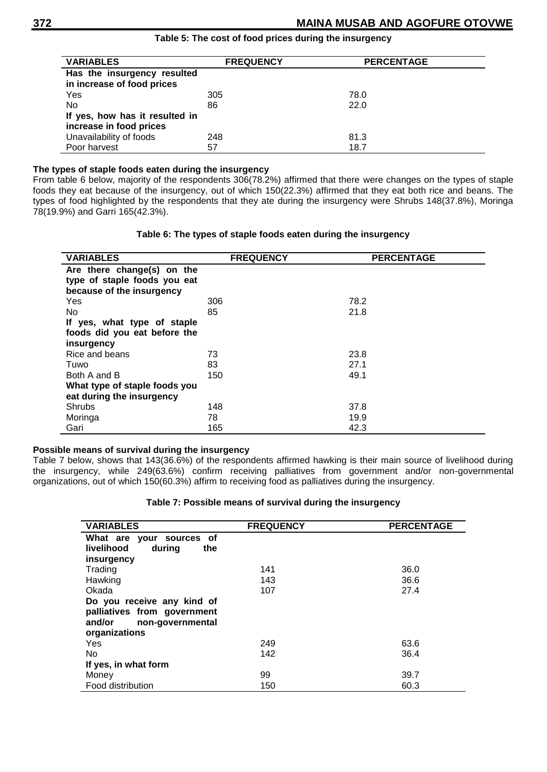| <b>VARIABLES</b>               | <b>FREQUENCY</b> | <b>PERCENTAGE</b> |
|--------------------------------|------------------|-------------------|
| Has the insurgency resulted    |                  |                   |
| in increase of food prices     |                  |                   |
| Yes                            | 305              | 78.0              |
| No.                            | 86               | 22.0              |
| If yes, how has it resulted in |                  |                   |
| increase in food prices        |                  |                   |
| Unavailability of foods        | 248              | 81.3              |
| Poor harvest                   | 57               | 18.7              |

## **Table 5: The cost of food prices during the insurgency**

## **The types of staple foods eaten during the insurgency**

From table 6 below, majority of the respondents 306(78.2%) affirmed that there were changes on the types of staple foods they eat because of the insurgency, out of which 150(22.3%) affirmed that they eat both rice and beans. The types of food highlighted by the respondents that they ate during the insurgency were Shrubs 148(37.8%), Moringa 78(19.9%) and Garri 165(42.3%).

## **Table 6: The types of staple foods eaten during the insurgency**

| <b>VARIABLES</b>              | <b>FREQUENCY</b> | <b>PERCENTAGE</b> |
|-------------------------------|------------------|-------------------|
| Are there change(s) on the    |                  |                   |
| type of staple foods you eat  |                  |                   |
| because of the insurgency     |                  |                   |
| Yes                           | 306              | 78.2              |
| No                            | 85               | 21.8              |
| If yes, what type of staple   |                  |                   |
| foods did you eat before the  |                  |                   |
| insurgency                    |                  |                   |
| Rice and beans                | 73               | 23.8              |
| Tuwo                          | 83               | 27.1              |
| Both A and B                  | 150              | 49.1              |
| What type of staple foods you |                  |                   |
| eat during the insurgency     |                  |                   |
| Shrubs                        | 148              | 37.8              |
| Moringa                       | 78               | 19.9              |
| Gari                          | 165              | 42.3              |

## **Possible means of survival during the insurgency**

Table 7 below, shows that 143(36.6%) of the respondents affirmed hawking is their main source of livelihood during the insurgency, while 249(63.6%) confirm receiving palliatives from government and/or non-governmental organizations, out of which 150(60.3%) affirm to receiving food as palliatives during the insurgency.

#### **Table 7: Possible means of survival during the insurgency**

| <b>VARIABLES</b>            | <b>FREQUENCY</b> | <b>PERCENTAGE</b> |
|-----------------------------|------------------|-------------------|
| What are your sources of    |                  |                   |
| livelihood<br>during<br>the |                  |                   |
| insurgency                  |                  |                   |
| Trading                     | 141              | 36.0              |
| Hawking                     | 143              | 36.6              |
| Okada                       | 107              | 27.4              |
| Do you receive any kind of  |                  |                   |
| palliatives from government |                  |                   |
| and/or<br>non-governmental  |                  |                   |
| organizations               |                  |                   |
| <b>Yes</b>                  | 249              | 63.6              |
| No.                         | 142              | 36.4              |
| If yes, in what form        |                  |                   |
| Money                       | 99               | 39.7              |
| Food distribution           | 150              | 60.3              |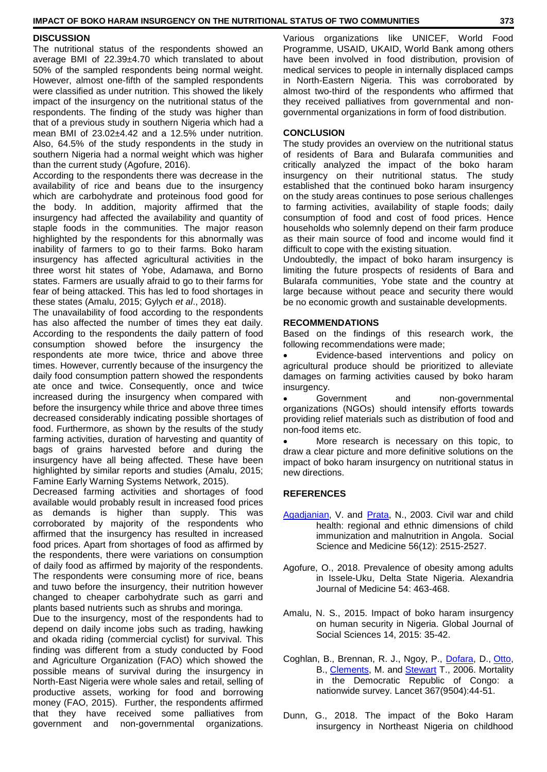#### **IMPACT OF BOKO HARAM INSURGENCY ON THE NUTRITIONAL STATUS OF TWO COMMUNITIES 373**

## **DISCUSSION**

The nutritional status of the respondents showed an average BMI of 22.39±4.70 which translated to about 50% of the sampled respondents being normal weight. However, almost one-fifth of the sampled respondents were classified as under nutrition. This showed the likely impact of the insurgency on the nutritional status of the respondents. The finding of the study was higher than that of a previous study in southern Nigeria which had a mean BMI of 23.02±4.42 and a 12.5% under nutrition. Also, 64.5% of the study respondents in the study in southern Nigeria had a normal weight which was higher than the current study (Agofure, 2016).

According to the respondents there was decrease in the availability of rice and beans due to the insurgency which are carbohydrate and proteinous food good for the body. In addition, majority affirmed that the insurgency had affected the availability and quantity of staple foods in the communities. The major reason highlighted by the respondents for this abnormally was inability of farmers to go to their farms. Boko haram insurgency has affected agricultural activities in the three worst hit states of Yobe, Adamawa, and Borno states. Farmers are usually afraid to go to their farms for fear of being attacked. This has led to food shortages in these states (Amalu, 2015; Gylych *et al*., 2018).

The unavailability of food according to the respondents has also affected the number of times they eat daily. According to the respondents the daily pattern of food consumption showed before the insurgency the respondents ate more twice, thrice and above three times. However, currently because of the insurgency the daily food consumption pattern showed the respondents ate once and twice. Consequently, once and twice increased during the insurgency when compared with before the insurgency while thrice and above three times decreased considerably indicating possible shortages of food. Furthermore, as shown by the results of the study farming activities, duration of harvesting and quantity of bags of grains harvested before and during the insurgency have all being affected. These have been highlighted by similar reports and studies (Amalu, 2015; Famine Early Warning Systems Network, 2015).

Decreased farming activities and shortages of food available would probably result in increased food prices as demands is higher than supply. This was corroborated by majority of the respondents who affirmed that the insurgency has resulted in increased food prices. Apart from shortages of food as affirmed by the respondents, there were variations on consumption of daily food as affirmed by majority of the respondents. The respondents were consuming more of rice, beans and tuwo before the insurgency, their nutrition however changed to cheaper carbohydrate such as garri and plants based nutrients such as shrubs and moringa.

Due to the insurgency, most of the respondents had to depend on daily income jobs such as trading, hawking and okada riding (commercial cyclist) for survival. This finding was different from a study conducted by Food and Agriculture Organization (FAO) which showed the possible means of survival during the insurgency in North-East Nigeria were whole sales and retail, selling of productive assets, working for food and borrowing money (FAO, 2015). Further, the respondents affirmed that they have received some palliatives from government and non-governmental organizations.

Various organizations like UNICEF, World Food Programme, USAID, UKAID, World Bank among others have been involved in food distribution, provision of medical services to people in internally displaced camps in North-Eastern Nigeria. This was corroborated by almost two-third of the respondents who affirmed that they received palliatives from governmental and nongovernmental organizations in form of food distribution.

## **CONCLUSION**

The study provides an overview on the nutritional status of residents of Bara and Bularafa communities and critically analyzed the impact of the boko haram insurgency on their nutritional status. The study established that the continued boko haram insurgency on the study areas continues to pose serious challenges to farming activities, availability of staple foods; daily consumption of food and cost of food prices. Hence households who solemnly depend on their farm produce as their main source of food and income would find it difficult to cope with the existing situation.

Undoubtedly, the impact of boko haram insurgency is limiting the future prospects of residents of Bara and Bularafa communities, Yobe state and the country at large because without peace and security there would be no economic growth and sustainable developments.

#### **RECOMMENDATIONS**

Based on the findings of this research work, the following recommendations were made;

 Evidence-based interventions and policy on agricultural produce should be prioritized to alleviate damages on farming activities caused by boko haram insurgency.

Government and non-governmental organizations (NGOs) should intensify efforts towards providing relief materials such as distribution of food and non-food items etc.

 More research is necessary on this topic, to draw a clear picture and more definitive solutions on the impact of boko haram insurgency on nutritional status in new directions.

## **REFERENCES**

- [Agadjanian,](https://pubmed.ncbi.nlm.nih.gov/?term=Agadjanian+V&cauthor_id=12742614) V. and [Prata,](https://pubmed.ncbi.nlm.nih.gov/?term=Prata+N&cauthor_id=12742614) N., 2003. Civil war and child health: regional and ethnic dimensions of child immunization and malnutrition in Angola. Social Science and Medicine 56(12): 2515-2527.
- Agofure, O., 2018. Prevalence of obesity among adults in Issele-Uku, Delta State Nigeria. Alexandria Journal of Medicine 54: 463-468.
- Amalu, N. S., 2015. Impact of boko haram insurgency on human security in Nigeria. Global Journal of Social Sciences 14, 2015: 35-42.
- Coghlan, B., Brennan, R. J., Ngoy, P., [Dofara,](https://pubmed.ncbi.nlm.nih.gov/?term=Dofara+D&cauthor_id=16399152) D., [Otto,](https://pubmed.ncbi.nlm.nih.gov/?term=Otto+B&cauthor_id=16399152) B., [Clements,](https://pubmed.ncbi.nlm.nih.gov/?term=Clements+M&cauthor_id=16399152) M. and [Stewart](https://pubmed.ncbi.nlm.nih.gov/?term=Stewart+T&cauthor_id=16399152) T., 2006. Mortality in the Democratic Republic of Congo: a nationwide survey. Lancet 367(9504):44-51.
- Dunn, G., 2018. The impact of the Boko Haram insurgency in Northeast Nigeria on childhood